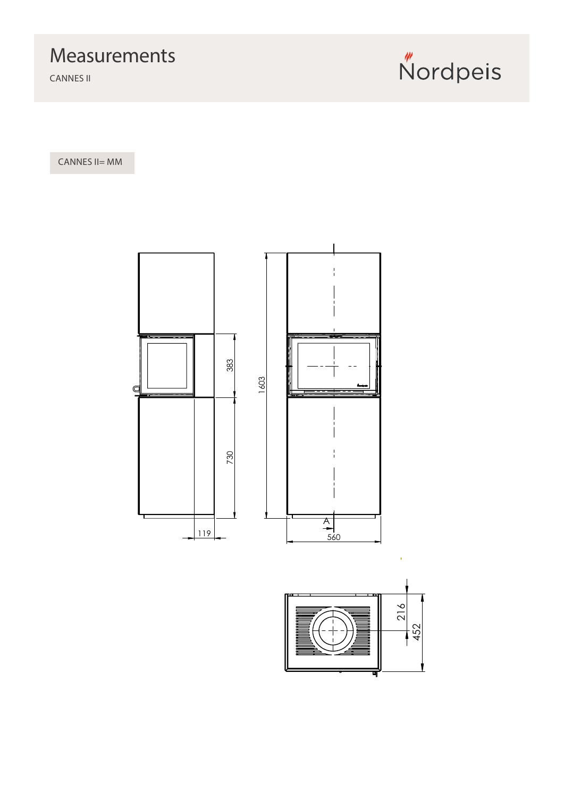## Measurements

CANNES II



CANNES II= MM